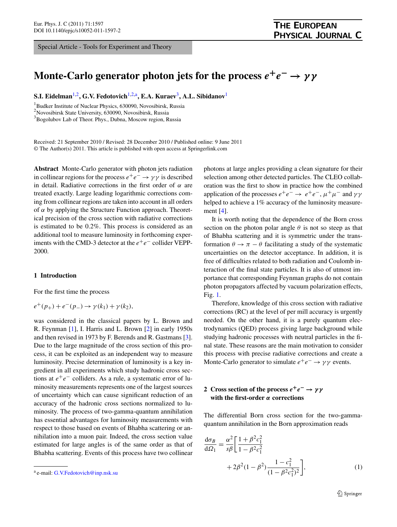<span id="page-0-1"></span><span id="page-0-0"></span>Special Article - Tools for Experiment and Theory

# <span id="page-0-3"></span>**Monte-Carlo generator photon jets for the process**  $e^+e^- \rightarrow \gamma \gamma$

**S.I. Eidelman**[1](#page-0-0)[,2](#page-0-1)**, G.V. Fedotovich**[1](#page-0-0),[2,](#page-0-1)[a](#page-0-2)**, E.A. Kuraev**[3](#page-0-3)**, A.L. Sibidanov**[1](#page-0-0)

1 Budker Institute of Nuclear Physics, 630090, Novosibirsk, Russia

2 Novosibirsk State University, 630090, Novosibirsk, Russia

<sup>3</sup> Bogolubov Lab of Theor. Phys., Dubna, Moscow region, Russia

Received: 21 September 2010 / Revised: 28 December 2010 / Published online: 9 June 2011 © The Author(s) 2011. This article is published with open access at Springerlink.com

**Abstract** Monte-Carlo generator with photon jets radiation in collinear regions for the process  $e^+e^- \rightarrow \gamma \gamma$  is described in detail. Radiative corrections in the first order of *α* are treated exactly. Large leading logarithmic corrections coming from collinear regions are taken into account in all orders of *α* by applying the Structure Function approach. Theoretical precision of the cross section with radiative corrections is estimated to be 0.2%. This process is considered as an additional tool to measure luminosity in forthcoming experiments with the CMD-3 detector at the  $e^+e^-$  collider VEPP-2000.

# **1 Introduction**

For the first time the process

$$
e^+(p_+) + e^-(p_-) \to \gamma(k_1) + \gamma(k_2),
$$

was considered in the classical papers by L. Brown and R. Feynman [\[1](#page-4-0)], I. Harris and L. Brown [[2\]](#page-4-1) in early 1950s and then revised in 1973 by F. Berends and R. Gastmans [\[3](#page-4-2)]. Due to the large magnitude of the cross section of this process, it can be exploited as an independent way to measure luminosity. Precise determination of luminosity is a key ingredient in all experiments which study hadronic cross sections at  $e^+e^-$  colliders. As a rule, a systematic error of luminosity measurements represents one of the largest sources of uncertainty which can cause significant reduction of an accuracy of the hadronic cross sections normalized to luminosity. The process of two-gamma-quantum annihilation has essential advantages for luminosity measurements with respect to those based on events of Bhabha scattering or annihilation into a muon pair. Indeed, the cross section value estimated for large angles is of the same order as that of Bhabha scattering. Events of this process have two collinear photons at large angles providing a clean signature for their selection among other detected particles. The CLEO collaboration was the first to show in practice how the combined application of the processes  $e^+e^- \rightarrow e^+e^-, \mu^+\mu^-$  and  $\gamma\gamma$ helped to achieve a 1% accuracy of the luminosity measurement [[4\]](#page-4-3).

It is worth noting that the dependence of the Born cross section on the photon polar angle  $\theta$  is not so steep as that of Bhabha scattering and it is symmetric under the transformation  $\theta \to \pi - \theta$  facilitating a study of the systematic uncertainties on the detector acceptance. In addition, it is free of difficulties related to both radiation and Coulomb interaction of the final state particles. It is also of utmost importance that corresponding Feynman graphs do not contain photon propagators affected by vacuum polarization effects, Fig. [1](#page-1-0).

Therefore, knowledge of this cross section with radiative corrections (RC) at the level of per mill accuracy is urgently needed. On the other hand, it is a purely quantum electrodynamics (QED) process giving large background while studying hadronic processes with neutral particles in the final state. These reasons are the main motivation to consider this process with precise radiative corrections and create a Monte-Carlo generator to simulate  $e^+e^- \rightarrow \gamma \gamma$  events.

# **2** Cross section of the process  $e^+e^- \rightarrow \gamma \gamma$ **with the first-order** *α* **corrections**

<span id="page-0-4"></span>The differential Born cross section for the two-gammaquantum annihilation in the Born approximation reads

$$
\frac{d\sigma_B}{d\Omega_1} = \frac{\alpha^2}{s\beta} \left[ \frac{1 + \beta^2 c_1^2}{1 - \beta^2 c_1^2} + 2\beta^2 (1 - \beta^2) \frac{1 - c_1^2}{(1 - \beta^2 c_1^2)^2} \right],
$$
\n(1)

<span id="page-0-2"></span><sup>a</sup> e-mail: [G.V.Fedotovich@inp.nsk.su](mailto:G.V.Fedotovich@inp.nsk.su)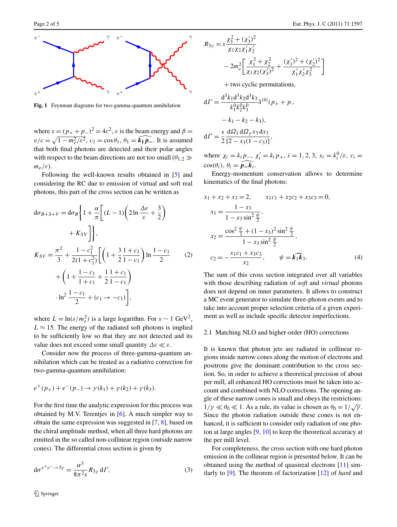<span id="page-1-0"></span>

**Fig. 1** Feynman diagrams for two-gamma-quantum annihilation

where  $s = (p_+ + p_-)^2 = 4\varepsilon^2$ ,  $\varepsilon$  is the beam energy and  $\beta =$  $v/c = \sqrt{1 - m_e^2/\varepsilon^2}$ ,  $c_1 = \cos \theta_1$ ,  $\theta_1 = \widehat{k_1 p_-}$ . It is assumed that both final photons are detected and their polar angles with respect to the beam directions are not too small  $(\theta_{1,2} \gg)$ *me/ε*).

Following the well-known results obtained in [[5\]](#page-4-4) and considering the RC due to emission of virtual and soft real photons, this part of the cross section can be written as

$$
d\sigma_{B+S+V} = d\sigma_B \left\{ 1 + \frac{\alpha}{\pi} \left[ (L-1) \left( 2 \ln \frac{\Delta \varepsilon}{\varepsilon} + \frac{3}{2} \right) \right.\right.+ K_{SV} \right\},\,
$$
  

$$
K_{SV} = \frac{\pi^2}{3} + \frac{1 - c_1^2}{2(1 + c_1^2)} \left[ \left( 1 + \frac{3}{2} \frac{1 + c_1}{1 - c_1} \right) \ln \frac{1 - c_1}{2} \right. \left. (2) + \left( 1 + \frac{1 - c_1}{1 + c_1} + \frac{1}{2} \frac{1 + c_1}{1 - c_1} \right) \right.+ \ln^2 \frac{1 - c_1}{2} + (c_1 \to -c_1) \left. \right],
$$

where  $L = \ln(s/m_e^2)$  is a large logarithm. For  $s \sim 1 \text{ GeV}^2$ ,  $L \approx 15$ . The energy of the radiated soft photons is implied to be sufficiently low so that they are not detected and its value does not exceed some small quantity  $\Delta \varepsilon \ll \varepsilon$ .

Consider now the process of three-gamma-quantum annihilation which can be treated as a radiative correction for two-gamma-quantum annihilation:

$$
e^+(p_+) + e^-(p_-) \to \gamma(k_1) + \gamma(k_2) + \gamma(k_3).
$$

For the first time the analytic expression for this process was obtained by M.V. Terentjev in [[6\]](#page-4-5). A much simpler way to obtain the same expression was suggested in [[7,](#page-4-6) [8](#page-4-7)], based on the chiral amplitude method, when all three hard photons are emitted in the so called non-collinear region (outside narrow cones). The differential cross section is given by

$$
d\sigma^{e^+e^- \to 3\gamma} = \frac{\alpha^3}{8\pi^2 s} R_{3\gamma} d\Gamma, \tag{3}
$$

$$
R_{3\gamma} = s \frac{\chi_3^2 + (\chi_3')^2}{\chi_1 \chi_2 \chi_1' \chi_2'}
$$
  
- 2m\_e^2 \left[ \frac{\chi\_1^2 + \chi\_2^2}{\chi\_1 \chi\_2 (\chi\_3')^2} + \frac{(\chi\_1')^2 + (\chi\_2')^2}{\chi\_1' \chi\_2' \chi\_3^2} \right]

+ two cyclic permutations*,*

$$
d\Gamma = \frac{d^3 k_1 d^3 k_2 d^3 k_3}{k_1^0 k_2^0 k_3^0} \delta^{(4)}(p_+ + p_- - k_1 - k_2 - k_3),
$$
  

$$
d\Gamma = \frac{s}{2} \frac{d\Omega_1 d\Omega_1 x_3 dx_3}{[2 - x_3(1 - c_3)]},
$$

where  $\chi_i = k_i p_-, \chi'_i = k_i p_+, i = 1, 2, 3, x_i = k_i^0 / \varepsilon, c_i =$  $\cos(\theta_i), \theta_i = \widehat{p_k}_i.$ 

Energy-momentum conservation allows to determine kinematics of the final photons:

$$
x_1 + x_2 + x_3 = 2, \t x_1c_1 + x_2c_2 + x_3c_3 = 0,
$$
  
\n
$$
x_1 = \frac{1 - x_3}{1 - x_3 \sin^2 \frac{\psi}{2}},
$$
  
\n
$$
x_2 = \frac{\cos^2 \frac{\psi}{2} + (1 - x_3)^2 \sin^2 \frac{\psi}{2}}{1 - x_3 \sin^2 \frac{\psi}{2}},
$$
  
\n
$$
c_2 = -\frac{x_1c_1 + x_3c_3}{x_2}, \t \psi = \widehat{k_1k_3}.
$$
  
\n(4)

The sum of this cross section integrated over all variables with those describing radiation of *soft* and *virtual* photons does not depend on inner parameters. It allows to construct a MC event generator to simulate three-photon events and to take into account proper selection criteria of a given experiment as well as include specific detector imperfections.

#### 2.1 Matching NLO and higher-order (HO) corrections

It is known that photon jets are radiated in collinear regions inside narrow cones along the motion of electrons and positrons give the dominant contribution to the cross section. So, in order to achieve a theoretical precision of about per mill, all enhanced HO corrections must be taken into account and combined with NLO corrections. The opening angle of these narrow cones is small and obeys the restrictions: 1/γ  $\ll \theta_0 \ll 1$ . As a rule, its value is chosen as  $\theta_0 = 1/\sqrt{\gamma}$ . Since the photon radiation outside these cones is not enhanced, it is sufficient to consider only radiation of one photon at large angles [[9,](#page-4-8) [10](#page-4-9)] to keep the theoretical accuracy at the per mill level.

For completeness, the cross section with one hard photon emission in the collinear region is presented below. It can be obtained using the method of quasireal electrons [[11\]](#page-4-10) similarly to [\[9](#page-4-8)]. The theorem of factorization [\[12](#page-4-11)] of *hard* and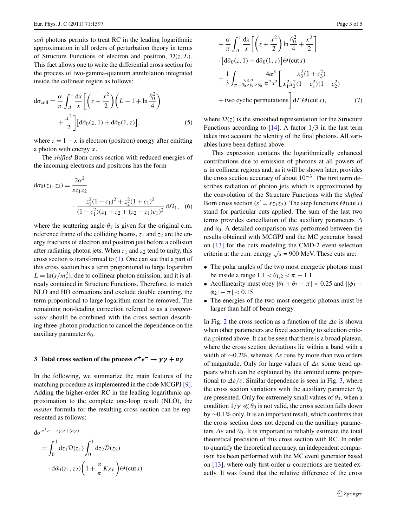*soft* photons permits to treat RC in the leading logarithmic approximation in all orders of perturbation theory in terms of Structure Functions of electron and positron, D*(z,L)*. This fact allows one to write the differential cross section for the process of two-gamma-quantum annihilation integrated inside the collinear region as follows:

$$
d\sigma_{\text{coll}} = \frac{\alpha}{\pi} \int_{\Delta}^{1} \frac{dx}{x} \left[ \left( z + \frac{x^2}{2} \right) \left( L - 1 + \ln \frac{\theta_0^2}{4} \right) + \frac{x^2}{2} \right] \left[ d\tilde{\sigma}_0(z, 1) + d\tilde{\sigma}_0(1, z) \right],\tag{5}
$$

where  $z = 1 - x$  is electron (positron) energy after emitting a photon with energy *x*.

The *shifted* Born cross section with reduced energies of the incoming electrons and positrons has the form

$$
d\sigma_0(z_1, z_2) = \frac{2\alpha^2}{s z_1 z_2}
$$

$$
\frac{z_1^2 (1 - c_1)^2 + z_2^2 (1 + c_1)^2}{(1 - c_1^2)(z_1 + z_2 + (z_2 - z_1)c_1)^2} d\Omega_1, \quad (6)
$$

where the scattering angle  $\theta_1$  is given for the original c.m. reference frame of the colliding beams,  $z_1$  and  $z_2$  are the energy fractions of electron and positron just before a collision after radiating photon jets. When  $z_1$  and  $z_2$  tend to unity, this cross section is transformed to [\(1](#page-0-4)). One can see that a part of this cross section has a term proportional to large logarithm  $L = \ln(s/m_e^2)$ , due to collinear photon emission, and it is already contained in Structure Functions. Therefore, to match NLO and HO corrections and exclude double counting, the term proportional to large logarithm must be removed. The remaining non-leading correction referred to as a *compensator* should be combined with the cross section describing three-photon production to cancel the dependence on the auxiliary parameter *θ*0.

# **3** Total cross section of the process  $e^+e^- \rightarrow \gamma \gamma + n \gamma$

In the following, we summarize the main features of the matching procedure as implemented in the code MCGPJ [\[9](#page-4-8)]. Adding the higher-order RC in the leading logarithmic approximation to the complete one-loop result (NLO), the *master* formula for the resulting cross section can be represented as follows:

$$
d\sigma^{e^+e^- \to \gamma \gamma + (n\gamma)}
$$
  
=  $\int_0^1 dz_1 \mathcal{D}(z_1) \int_0^1 dz_2 \mathcal{D}(z_2)$   
 $\cdot d\tilde{\sigma}_0(z_1, z_2) \left(1 + \frac{\alpha}{\pi} K_{SV}\right) \Theta(\text{cuts})$ 

$$
+\frac{\alpha}{\pi} \int_{\Delta}^{1} \frac{dx}{x} \left[ \left( z + \frac{x^2}{2} \right) \ln \frac{\theta_0^2}{4} + \frac{x^2}{2} \right]
$$
  
\n
$$
\cdot \left[ d\tilde{\sigma}_0(z, 1) + d\tilde{\sigma}_0(1, z) \right] \Theta(\text{cuts})
$$
  
\n
$$
+\frac{1}{3} \int_{\pi - \theta_0 \ge \theta_i \ge \theta_0} \frac{4\alpha^3}{\pi^2 s^2} \left[ \frac{x_3^2 (1 + c_3^2)}{x_1^2 x_2^2 (1 - c_1^2)(1 - c_2^2)} + \text{two cyclic permutations} \right] d\Gamma \Theta(\text{cuts}), \qquad (7)
$$

where  $\mathcal{D}(z)$  is the smoothed representation for the Structure Functions according to [\[14](#page-4-12)]. A factor 1*/*3 in the last term takes into account the identity of the final photons. All variables have been defined above.

This expression contains the logarithmically enhanced contributions due to emission of photons at all powers of  $\alpha$  in collinear regions and, as it will be shown later, provides the cross section accuracy of about  $10^{-3}$ . The first term describes radiation of photon jets which is approximated by the convolution of the Structure Functions with the *shifted* Born cross section ( $s' = sz_1z_2$ ). The step functions  $\Theta$ (cut*s*) stand for particular cuts applied. The sum of the last two terms provides cancellation of the auxiliary parameters *Δ* and  $\theta_0$ . A detailed comparison was performed between the results obtained with MCGPJ and the MC generator based on [[13\]](#page-4-13) for the cuts modeling the CMD-2 event selection criteria at the c.m. energy  $\sqrt{s}$  = 900 MeV. These cuts are:

- The polar angles of the two most energetic photons must be inside a range  $1.1 < \theta_{1,2} < \pi - 1.1$
- Acollinearity must obey  $|\theta_1 + \theta_2 \pi| < 0.25$  and  $||\phi_1 \sigma||$  $|\phi_2| - \pi$  | < 0.15
- The energies of the two most energetic photons must be larger than half of beam energy.

In Fig. [2](#page-3-0) the cross section as a function of the *Δε* is shown when other parameters are fixed according to selection criteria pointed above. It can be seen that there is a broad plateau, where the cross section deviations lie within a band with a width of ∼0*.*2%, whereas *Δε* runs by more than two orders of magnitude. Only for large values of *Δε* some trend appears which can be explained by the omitted terms proportional to  $\Delta \varepsilon / \varepsilon$ . Similar dependence is seen in Fig. [3](#page-3-1), where the cross section variations with the auxiliary parameter  $\theta_0$ are presented. Only for extremely small values of  $\theta_0$ , when a condition  $1/\gamma \ll \theta_0$  is not valid, the cross section falls down by ∼0*.*1% only. It is an important result, which confirms that the cross section does not depend on the auxiliary parameters  $\Delta \varepsilon$  and  $\theta_0$ . It is important to reliably estimate the total theoretical precision of this cross section with RC. In order to quantify the theoretical accuracy, an independent comparison has been performed with the MC event generator based on [[13\]](#page-4-13), where only first-order  $\alpha$  corrections are treated exactly. It was found that the relative difference of the cross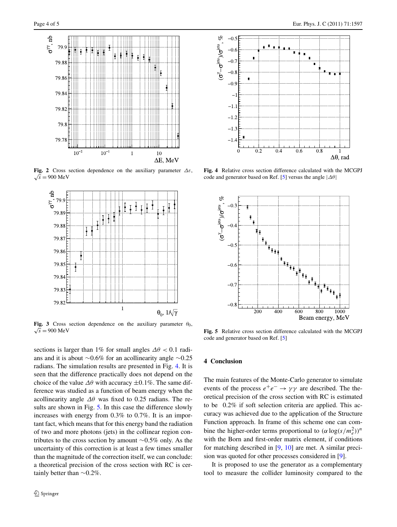

<span id="page-3-0"></span>**Fig. 2** Cross section dependence on the auxiliary parameter  $\Delta \varepsilon$ ,  $\sqrt{s} = 900 \text{ MeV}$ 



<span id="page-3-1"></span>**Fig. 3** Cross section dependence on the auxiliary parameter  $\theta_0$ ,  $\sqrt{s} = 900 \text{ MeV}$ 

sections is larger than 1% for small angles  $\Delta\theta$  < 0.1 radians and it is about ∼0.6% for an acollinearity angle ∼0.25 radians. The simulation results are presented in Fig. [4.](#page-3-2) It is seen that the difference practically does not depend on the choice of the value  $\Delta\theta$  with accuracy  $\pm 0.1\%$ . The same difference was studied as a function of beam energy when the acollinearity angle *Δθ* was fixed to 0.25 radians. The re-sults are shown in Fig. [5](#page-3-3). In this case the difference slowly increases with energy from 0.3% to 0.7%. It is an important fact, which means that for this energy band the radiation of two and more photons (jets) in the collinear region contributes to the cross section by amount ∼0.5% only. As the uncertainty of this correction is at least a few times smaller than the magnitude of the correction itself, we can conclude: a theoretical precision of the cross section with RC is certainly better than ∼0.2%.



<span id="page-3-2"></span>**Fig. 4** Relative cross section difference calculated with the MCGPJ code and generator based on Ref. [[5\]](#page-4-4) versus the angle |*Δθ*|



<span id="page-3-3"></span>**Fig. 5** Relative cross section difference calculated with the MCGPJ code and generator based on Ref. [[5\]](#page-4-4)

### **4 Conclusion**

The main features of the Monte-Carlo generator to simulate events of the process  $e^+e^- \rightarrow \gamma\gamma$  are described. The theoretical precision of the cross section with RC is estimated to be 0.2% if soft selection criteria are applied. This accuracy was achieved due to the application of the Structure Function approach. In frame of this scheme one can combine the higher-order terms proportional to  $(\alpha \log(s/m_e^2))^n$ with the Born and first-order matrix element, if conditions for matching described in [\[9](#page-4-8), [10](#page-4-9)] are met. A similar precision was quoted for other processes considered in [\[9](#page-4-8)].

It is proposed to use the generator as a complementary tool to measure the collider luminosity compared to the